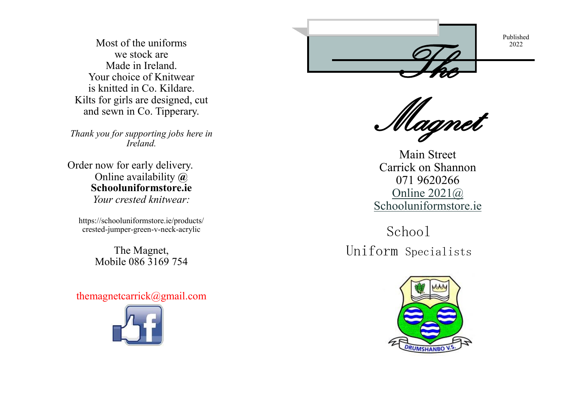Published 2022

Most of the uniforms we stock are Made in Ireland. Your choice of Knitwear is knitted in Co. Kildare. Kilts for girls are designed, cut and sewn in Co. Tipperary.

*Thank you for supporting jobs here in Ireland.*

Order now for early delivery. Online availability **@ Schooluniformstore.ie** *Your crested knitwear:*

https://schooluniformstore.ie/products/ crested -jumper -green - v -neck -acrylic

> The Magnet, Mobile 086 3169 754

themagnetcarrick@gmail.com





The

Main Street Carrick on Shannon 071 9620266 Online 2021@ Schooluniformstore.ie

School Uniform Specialists